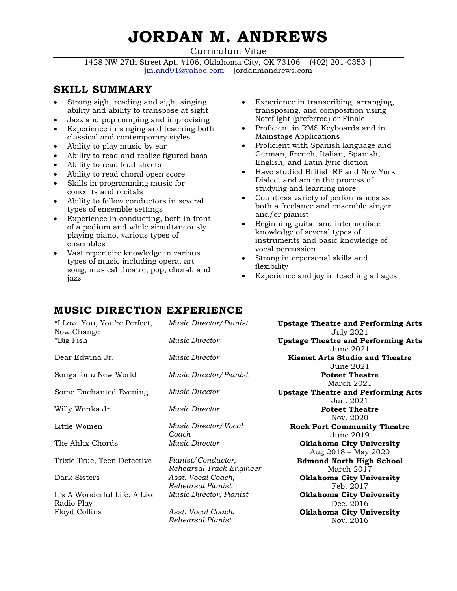# **JORDAN M. ANDREWS**

Curriculum Vitae

1428 NW 27th Street Apt. #106, Oklahoma City, OK 73106 | (402) 201-0353 | [jm.and91@yahoo.com](mailto:jm.and91@yahoo.com) | jordanmandrews.com

## **SKILL SUMMARY**

- Strong sight reading and sight singing ability and ability to transpose at sight
- Jazz and pop comping and improvising
- Experience in singing and teaching both classical and contemporary styles
- Ability to play music by ear
- Ability to read and realize figured bass
- Ability to read lead sheets
- Ability to read choral open score
- Skills in programming music for concerts and recitals
- Ability to follow conductors in several types of ensemble settings
- Experience in conducting, both in front of a podium and while simultaneously playing piano, various types of ensembles
- Vast repertoire knowledge in various types of music including opera, art song, musical theatre, pop, choral, and jazz
- Experience in transcribing, arranging, transposing, and composition using Noteflight (preferred) or Finale
- Proficient in RMS Keyboards and in Mainstage Applications
- Proficient with Spanish language and German, French, Italian, Spanish, English, and Latin lyric diction
- Have studied British RP and New York Dialect and am in the process of studying and learning more
- Countless variety of performances as both a freelance and ensemble singer and/or pianist
- Beginning guitar and intermediate knowledge of several types of instruments and basic knowledge of vocal percussion.
- Strong interpersonal skills and flexibility
- Experience and joy in teaching all ages

# **MUSIC DIRECTION EXPERIENCE**

| *I Love You, You're Perfect,<br>Now Change  | Music Director/Pianist                         | <b>Upstage Theatre and Performing Arts</b><br><b>July 2021</b> |
|---------------------------------------------|------------------------------------------------|----------------------------------------------------------------|
| *Big Fish                                   | <i>Music Director</i>                          | <b>Upstage Theatre and Performing Arts</b><br>June 2021        |
| Dear Edwina Jr.                             | <i>Music Director</i>                          | <b>Kismet Arts Studio and Theatre</b><br>June 2021             |
| Songs for a New World                       | Music Director/Pianist                         | <b>Poteet Theatre</b><br>March 2021                            |
| Some Enchanted Evening                      | Music Director                                 | <b>Upstage Theatre and Performing Arts</b><br>Jan. 2021        |
| Willy Wonka Jr.                             | Music Director                                 | <b>Poteet Theatre</b><br>Nov. 2020                             |
| Little Women                                | Music Director/Vocal<br>Coach                  | <b>Rock Port Community Theatre</b><br>June 2019                |
| The Ahhx Chords                             | <i>Music Director</i>                          | <b>Oklahoma City University</b><br>Aug 2018 - May 2020         |
| Trixie True, Teen Detective                 | Pianist/Conductor,<br>Rehearsal Track Engineer | <b>Edmond North High School</b><br>March 2017                  |
| Dark Sisters                                | Asst. Vocal Coach,<br>Rehearsal Pianist        | <b>Oklahoma City University</b><br>Feb. 2017                   |
| It's A Wonderful Life: A Live<br>Radio Play | Music Director, Pianist                        | <b>Oklahoma City University</b><br>Dec. 2016                   |
| Floyd Collins                               | Asst. Vocal Coach,<br>Rehearsal Pianist        | <b>Oklahoma City University</b><br>Nov. 2016                   |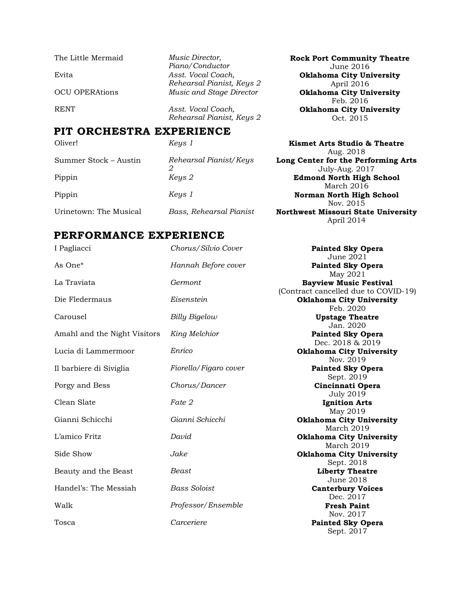The Little Mermaid *Music Director,*  Evita *Asst. Vocal Coach,* 

*Piano/Conductor Rehearsal Pianist, Keys 2* OCU OPERAtions *Music and Stage Director* **Oklahoma City University** 

RENT *Asst. Vocal Coach, Rehearsal Pianist, Keys 2*

## **PIT ORCHESTRA EXPERIENCE**

*2*

Oliver! *Keys 1* **Kismet Arts Studio & Theatre** Summer Stock – Austin *Rehearsal Pianist/Keys* 

Aug. 2018 **Long Center for the Performing Arts** July-Aug. 2017 Pippin *Keys 2* **Edmond North High School**  March 2016 Pippin *Keys 1* **Norman North High School** Nov. 2015 Urinetown: The Musical *Bass, Rehearsal Pianist* **Northwest Missouri State University** April 2014

**Rock Port Community Theatre** June 2016

**Oklahoma City University**  April 2016

Feb. 2016

**Oklahoma City University** Oct. 2015

## **PERFORMANCE EXPERIENCE**

| I Pagliacci                  | Chorus/Silvio Cover   | <b>Painted Sky Opera</b><br>June 2021                                 |
|------------------------------|-----------------------|-----------------------------------------------------------------------|
| As One <sup>*</sup>          | Hannah Before cover   | <b>Painted Sky Opera</b><br>May 2021                                  |
| La Traviata                  | Germont               | <b>Bayview Music Festival</b><br>(Contract cancelled due to COVID-19) |
| Die Fledermaus               | Eisenstein            | <b>Oklahoma City University</b><br>Feb. 2020                          |
| Carousel                     | Billy Bigelow         | <b>Upstage Theatre</b><br>Jan. 2020                                   |
| Amahl and the Night Visitors | King Melchior         | <b>Painted Sky Opera</b><br>Dec. 2018 & 2019                          |
| Lucia di Lammermoor          | Enrico                | <b>Oklahoma City University</b><br>Nov. 2019                          |
| Il barbiere di Siviglia      | Fiorello/Figaro cover | <b>Painted Sky Opera</b><br>Sept. 2019                                |
| Porgy and Bess               | Chorus/Dancer         | Cincinnati Opera<br><b>July 2019</b>                                  |
| Clean Slate                  | Fate 2                | <b>Ignition Arts</b><br>May 2019                                      |
| Gianni Schicchi              | Gianni Schicchi       | <b>Oklahoma City University</b><br>March 2019                         |
| L'amico Fritz                | David                 | <b>Oklahoma City University</b><br>March 2019                         |
| Side Show                    | Jake                  | <b>Oklahoma City University</b><br>Sept. 2018                         |
| Beauty and the Beast         | Beast                 | <b>Liberty Theatre</b><br><b>June 2018</b>                            |
| Handel's: The Messiah        | <b>Bass Soloist</b>   | <b>Canterbury Voices</b><br>Dec. 2017                                 |
| Walk                         | Professor/Ensemble    | <b>Fresh Paint</b><br>Nov. 2017                                       |
| Tosca                        | Carceriere            | <b>Painted Sky Opera</b><br>Sept. 2017                                |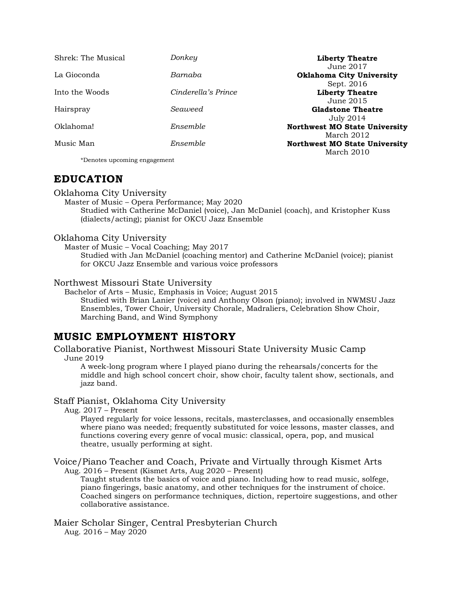| Shrek: The Musical           | Donkey              | <b>Liberty Theatre</b><br>June 2017  |
|------------------------------|---------------------|--------------------------------------|
| La Gioconda                  | Barnaba             | Oklahoma City University             |
|                              |                     | Sept. 2016                           |
| Into the Woods               | Cinderella's Prince | <b>Liberty Theatre</b>               |
|                              |                     | June 2015                            |
| Hairspray                    | Seaweed             | <b>Gladstone Theatre</b>             |
|                              |                     | July 2014                            |
| Oklahoma!                    | Ensemble            | <b>Northwest MO State University</b> |
|                              |                     | March 2012                           |
| Music Man                    | Ensemble            | <b>Northwest MO State University</b> |
|                              |                     | March 2010                           |
| *Denotes upcoming engagement |                     |                                      |

## **EDUCATION**

#### Oklahoma City University

Master of Music – Opera Performance; May 2020 Studied with Catherine McDaniel (voice), Jan McDaniel (coach), and Kristopher Kuss (dialects/acting); pianist for OKCU Jazz Ensemble

#### Oklahoma City University

Master of Music – Vocal Coaching; May 2017 Studied with Jan McDaniel (coaching mentor) and Catherine McDaniel (voice); pianist for OKCU Jazz Ensemble and various voice professors

#### Northwest Missouri State University

Bachelor of Arts – Music, Emphasis in Voice; August 2015 Studied with Brian Lanier (voice) and Anthony Olson (piano); involved in NWMSU Jazz Ensembles, Tower Choir, University Chorale, Madraliers, Celebration Show Choir, Marching Band, and Wind Symphony

## **MUSIC EMPLOYMENT HISTORY**

Collaborative Pianist, Northwest Missouri State University Music Camp June 2019

A week-long program where I played piano during the rehearsals/concerts for the middle and high school concert choir, show choir, faculty talent show, sectionals, and jazz band.

#### Staff Pianist, Oklahoma City University

Aug. 2017 – Present

Played regularly for voice lessons, recitals, masterclasses, and occasionally ensembles where piano was needed; frequently substituted for voice lessons, master classes, and functions covering every genre of vocal music: classical, opera, pop, and musical theatre, usually performing at sight.

Voice/Piano Teacher and Coach, Private and Virtually through Kismet Arts

Aug. 2016 – Present (Kismet Arts, Aug 2020 – Present)

Taught students the basics of voice and piano. Including how to read music, solfege, piano fingerings, basic anatomy, and other techniques for the instrument of choice. Coached singers on performance techniques, diction, repertoire suggestions, and other collaborative assistance.

Maier Scholar Singer, Central Presbyterian Church Aug. 2016 – May 2020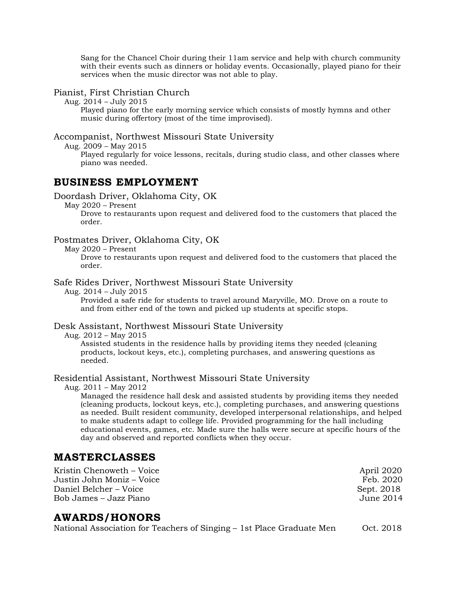Sang for the Chancel Choir during their 11am service and help with church community with their events such as dinners or holiday events. Occasionally, played piano for their services when the music director was not able to play.

#### Pianist, First Christian Church

Aug. 2014 – July 2015

Played piano for the early morning service which consists of mostly hymns and other music during offertory (most of the time improvised).

#### Accompanist, Northwest Missouri State University

Aug. 2009 – May 2015

Played regularly for voice lessons, recitals, during studio class, and other classes where piano was needed.

## **BUSINESS EMPLOYMENT**

#### Doordash Driver, Oklahoma City, OK

May 2020 – Present

Drove to restaurants upon request and delivered food to the customers that placed the order.

#### Postmates Driver, Oklahoma City, OK

May 2020 – Present

Drove to restaurants upon request and delivered food to the customers that placed the order.

#### Safe Rides Driver, Northwest Missouri State University

Aug. 2014 – July 2015

Provided a safe ride for students to travel around Maryville, MO. Drove on a route to and from either end of the town and picked up students at specific stops.

#### Desk Assistant, Northwest Missouri State University

Aug. 2012 – May 2015

Assisted students in the residence halls by providing items they needed (cleaning products, lockout keys, etc.), completing purchases, and answering questions as needed.

#### Residential Assistant, Northwest Missouri State University

Aug. 2011 – May 2012

Managed the residence hall desk and assisted students by providing items they needed (cleaning products, lockout keys, etc.), completing purchases, and answering questions as needed. Built resident community, developed interpersonal relationships, and helped to make students adapt to college life. Provided programming for the hall including educational events, games, etc. Made sure the halls were secure at specific hours of the day and observed and reported conflicts when they occur.

### **MASTERCLASSES**

Kristin Chenoweth – Voice April 2020 Justin John Moniz – Voice Feb. 2020 Daniel Belcher – Voice Sept. 2018 Bob James – Jazz Piano June 2014

## **AWARDS/HONORS**

National Association for Teachers of Singing – 1st Place Graduate Men Oct. 2018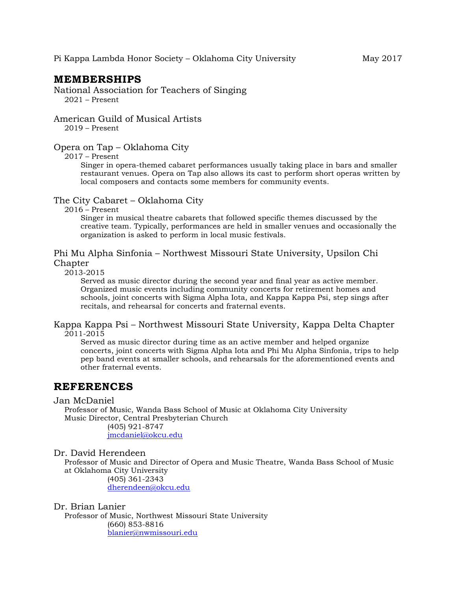## **MEMBERSHIPS**

National Association for Teachers of Singing 2021 – Present

American Guild of Musical Artists 2019 – Present

#### Opera on Tap – Oklahoma City

2017 – Present

Singer in opera-themed cabaret performances usually taking place in bars and smaller restaurant venues. Opera on Tap also allows its cast to perform short operas written by local composers and contacts some members for community events.

The City Cabaret – Oklahoma City

2016 – Present

Singer in musical theatre cabarets that followed specific themes discussed by the creative team. Typically, performances are held in smaller venues and occasionally the organization is asked to perform in local music festivals.

#### Phi Mu Alpha Sinfonia – Northwest Missouri State University, Upsilon Chi Chapter

2013-2015

Served as music director during the second year and final year as active member. Organized music events including community concerts for retirement homes and schools, joint concerts with Sigma Alpha Iota, and Kappa Kappa Psi, step sings after recitals, and rehearsal for concerts and fraternal events.

Kappa Kappa Psi – Northwest Missouri State University, Kappa Delta Chapter 2011-2015

Served as music director during time as an active member and helped organize concerts, joint concerts with Sigma Alpha Iota and Phi Mu Alpha Sinfonia, trips to help pep band events at smaller schools, and rehearsals for the aforementioned events and other fraternal events.

## **REFERENCES**

#### Jan McDaniel

Professor of Music, Wanda Bass School of Music at Oklahoma City University Music Director, Central Presbyterian Church

(405) 921-8747 [jmcdaniel@okcu.edu](mailto:jmcdaniel@okcu.edu)

#### Dr. David Herendeen

Professor of Music and Director of Opera and Music Theatre, Wanda Bass School of Music at Oklahoma City University (405) 361-2343

[dherendeen@okcu.edu](mailto:dherendeen@okcu.edu)

#### Dr. Brian Lanier

Professor of Music, Northwest Missouri State University (660) 853-8816 [blanier@nwmissouri.edu](mailto:blanier@nwmissouri.edu)